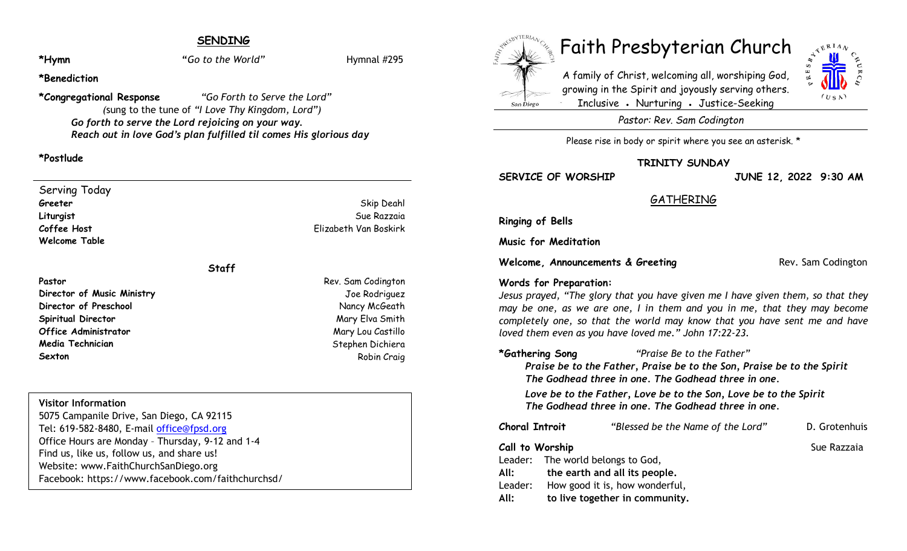# **SENDING**

**\*Hymn "***Go to the World"* Hymnal #295

#### **\*Benediction**

**\*Congregational Response** *"Go Forth to Serve the Lord" (*sung to the tune of *"I Love Thy Kingdom, Lord") Go forth to serve the Lord rejoicing on your way. Reach out in love God's plan fulfilled til comes His glorious day*

#### **\*Postlude**

Serving Today **Greeter** Skip Deahl **Liturgist** Sue Razzaia **Coffee Host** Elizabeth Van Boskirk **Welcome Table**

#### **Staff**

**Director of Music Ministry** Joe Rodriguez **Director of Preschool Nancy McGeath Spiritual Director** Mary Elva Smith **Office Administrator** Mary Lou Castillo **Media Technician** Stephen Dichiera Stephen Dichiera **Sexton** Robin Craig **Robin Craig** 

#### **Visitor Information**

5075 Campanile Drive, San Diego, CA 92115 Tel: 619-582-8480, E-mail office@fpsd.org Office Hours are Monday – Thursday, 9-12 and 1-4 Find us, like us, follow us, and share us! Website: www.FaithChurchSanDiego.org Facebook: https://www.facebook.com/faithchurchsd/

# San Diego



A family of Christ, welcoming all, worshiping God, growing in the Spirit and joyously serving others. Inclusive • Nurturing • Justice-Seeking



*Pastor: Rev. Sam Codington*

Please rise in body or spirit where you see an asterisk. \*

**TRINITY SUNDAY**

**SERVICE OF WORSHIP JUNE 12, 2022 9:30 AM**

# **GATHERING**

**Ringing of Bells**

**Music for Meditation** 

**Welcome, Announcements & Greeting Rev. Sam Codington** 

#### **Words for Preparation:**

*Jesus prayed, "The glory that you have given me I have given them, so that they may be one, as we are one, I in them and you in me, that they may become completely one, so that the world may know that you have sent me and have loved them even as you have loved me." John 17:22-23.*

**\*Gathering Song** *"Praise Be to the Father"*

 *Praise be to the Father, Praise be to the Son, Praise be to the Spirit The Godhead three in one. The Godhead three in one.*

 *Love be to the Father, Love be to the Son, Love be to the Spirit The Godhead three in one. The Godhead three in one.*

| Choral Introit  |                                   | "Blessed be the Name of the Lord" | D. Grotenhuis |
|-----------------|-----------------------------------|-----------------------------------|---------------|
| Call to Worship |                                   |                                   | Sue Razzaia   |
|                 | Leader: The world belongs to God, |                                   |               |
| All:            | the earth and all its people.     |                                   |               |
| Leader:         | How good it is, how wonderful,    |                                   |               |
| All:            | to live together in community.    |                                   |               |

**Pastor** Rev. Sam Codington